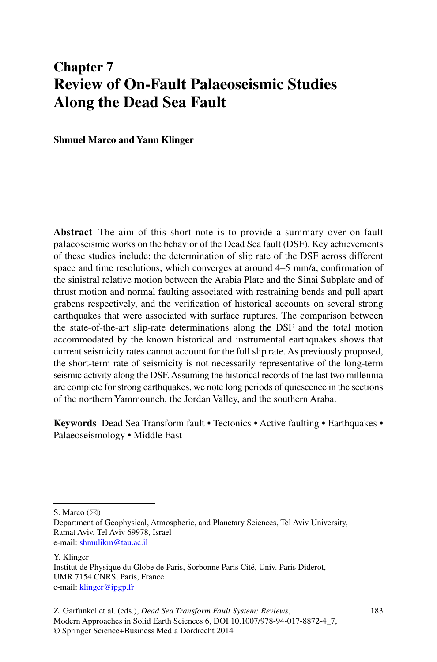# **Chapter 7 Review of On-Fault Palaeoseismic Studies Along the Dead Sea Fault**

 **Shmuel Marco and Yann Klinger** 

 **Abstract** The aim of this short note is to provide a summary over on-fault palaeoseismic works on the behavior of the Dead Sea fault (DSF). Key achievements of these studies include: the determination of slip rate of the DSF across different space and time resolutions, which converges at around  $4-5$  mm/a, confirmation of the sinistral relative motion between the Arabia Plate and the Sinai Subplate and of thrust motion and normal faulting associated with restraining bends and pull apart grabens respectively, and the verification of historical accounts on several strong earthquakes that were associated with surface ruptures. The comparison between the state-of-the-art slip-rate determinations along the DSF and the total motion accommodated by the known historical and instrumental earthquakes shows that current seismicity rates cannot account for the full slip rate. As previously proposed, the short-term rate of seismicity is not necessarily representative of the long-term seismic activity along the DSF. Assuming the historical records of the last two millennia are complete for strong earthquakes, we note long periods of quiescence in the sections of the northern Yammouneh, the Jordan Valley, and the southern Araba.

 **Keywords** Dead Sea Transform fault • Tectonics • Active faulting • Earthquakes • Palaeoseismology • Middle East

S. Marco  $(\boxtimes)$ 

 Y. Klinger Institut de Physique du Globe de Paris, Sorbonne Paris Cité, Univ. Paris Diderot, UMR 7154 CNRS, Paris, France e-mail: [klinger@ipgp.fr](mailto:klinger@ipgp.fr)

Department of Geophysical, Atmospheric, and Planetary Sciences , Tel Aviv University , Ramat Aviv, Tel Aviv 69978, Israel e-mail: [shmulikm@tau.ac.il](mailto:shmulikm@tau.ac.il)

Z. Garfunkel et al. (eds.), *Dead Sea Transform Fault System: Reviews*, 183 Modern Approaches in Solid Earth Sciences 6, DOI 10.1007/978-94-017-8872-4\_7, © Springer Science+Business Media Dordrecht 2014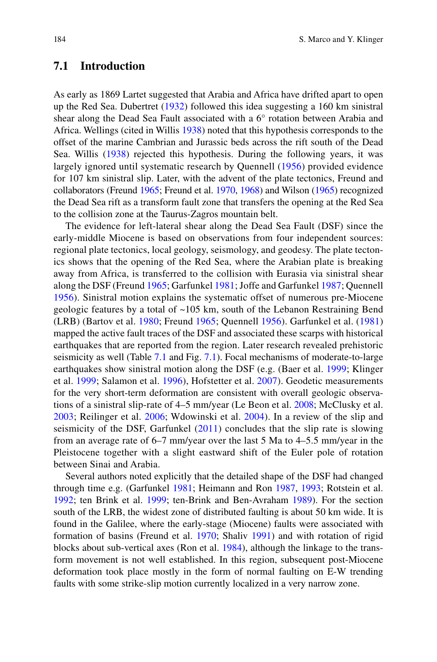# **7.1 Introduction**

 As early as 1869 Lartet suggested that Arabia and Africa have drifted apart to open up the Red Sea. Dubertret (1932) followed this idea suggesting a 160 km sinistral shear along the Dead Sea Fault associated with a 6° rotation between Arabia and Africa. Wellings (cited in Willis [1938 \)](#page-22-0) noted that this hypothesis corresponds to the offset of the marine Cambrian and Jurassic beds across the rift south of the Dead Sea. Willis (1938) rejected this hypothesis. During the following years, it was largely ignored until systematic research by Quennell (1956) provided evidence for 107 km sinistral slip. Later, with the advent of the plate tectonics, Freund and collaborators (Freund [1965](#page-18-0); Freund et al. 1970, [1968](#page-18-0)) and Wilson (1965) recognized the Dead Sea rift as a transform fault zone that transfers the opening at the Red Sea to the collision zone at the Taurus-Zagros mountain belt.

 The evidence for left-lateral shear along the Dead Sea Fault (DSF) since the early-middle Miocene is based on observations from four independent sources: regional plate tectonics, local geology, seismology, and geodesy. The plate tectonics shows that the opening of the Red Sea, where the Arabian plate is breaking away from Africa, is transferred to the collision with Eurasia via sinistral shear along the DSF (Freund [1965 ;](#page-18-0) Garfunkel [1981](#page-19-0) ; Joffe and Garfunkel [1987](#page-19-0) ; Quennell [1956](#page-20-0) ). Sinistral motion explains the systematic offset of numerous pre-Miocene geologic features by a total of  $\sim$ 105 km, south of the Lebanon Restraining Bend (LRB) (Bartov et al. 1980; Freund [1965](#page-18-0); Quennell [1956](#page-20-0)). Garfunkel et al. (1981) mapped the active fault traces of the DSF and associated these scarps with historical earthquakes that are reported from the region. Later research revealed prehistoric seismicity as well (Table [7.1](#page-2-0) and Fig. [7.1](#page-4-0) ). Focal mechanisms of moderate-to-large earthquakes show sinistral motion along the DSF (e.g. (Baer et al. 1999; Klinger et al. 1999; Salamon et al. 1996), Hofstetter et al. [2007](#page-19-0)). Geodetic measurements for the very short-term deformation are consistent with overall geologic observations of a sinistral slip-rate of 4–5 mm/year (Le Beon et al. 2008; McClusky et al. [2003](#page-20-0); Reilinger et al. 2006; Wdowinski et al. [2004](#page-22-0)). In a review of the slip and seismicity of the DSF, Garfunkel  $(2011)$  concludes that the slip rate is slowing from an average rate of 6–7 mm/year over the last 5 Ma to 4–5.5 mm/year in the Pleistocene together with a slight eastward shift of the Euler pole of rotation between Sinai and Arabia.

 Several authors noted explicitly that the detailed shape of the DSF had changed through time e.g. (Garfunkel 1981; Heimann and Ron [1987](#page-19-0), 1993; Rotstein et al. 1992; ten Brink et al. [1999](#page-21-0); ten-Brink and Ben-Avraham [1989](#page-21-0)). For the section south of the LRB, the widest zone of distributed faulting is about 50 km wide. It is found in the Galilee, where the early-stage (Miocene) faults were associated with formation of basins (Freund et al. 1970; Shaliv [1991](#page-21-0)) and with rotation of rigid blocks about sub-vertical axes (Ron et al. [1984](#page-21-0)), although the linkage to the transform movement is not well established. In this region, subsequent post-Miocene deformation took place mostly in the form of normal faulting on E-W trending faults with some strike-slip motion currently localized in a very narrow zone.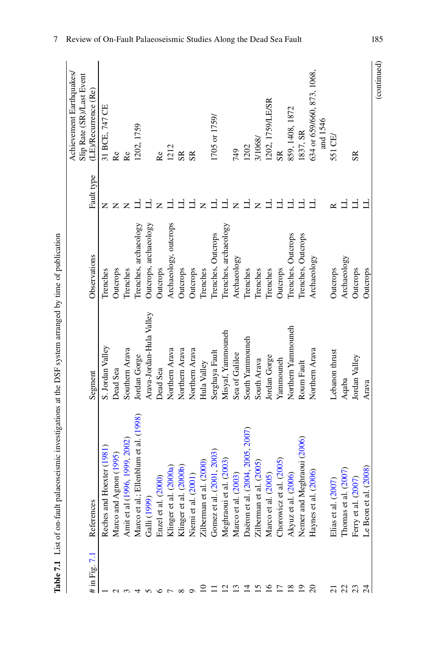<span id="page-2-0"></span>

| (continued)                                       |            |                       |                          |                                          |                 |
|---------------------------------------------------|------------|-----------------------|--------------------------|------------------------------------------|-----------------|
|                                                   | 님          | Outcrops              | Arava                    | et al. (2008)<br>Le Beon                 | $\overline{c}$  |
| $S_{R}$                                           | $\exists$  | Outcrops              | Jordan Valley            | Ferry et al. (2007)                      | 23              |
|                                                   | $\exists$  | Archaeology           | Aqaba                    | Thomas et al. (2007)                     | 22              |
| 551 CE/                                           | $\approx$  | Outcrops              | Lebanon thrust           | Elias et al. (2007)                      |                 |
| and 1546                                          |            |                       |                          |                                          |                 |
| 634 or 659/660, 873, 1068,                        | 님          | Archaeology           | Northern Arava           | Haynes et al. (2006)                     |                 |
| 1837, SR                                          | 님          | Trenches, Outcrops    | Roum Fault               | Nemer and Meghraoui (2006)               | $\overline{1}$  |
| 859, 1408, 1872                                   | 日          | Trenches, Outcrops    | Northern Yammouneh       | al. (2006)<br>Akyuz et                   | $\frac{8}{18}$  |
| $\frac{8}{2}$                                     | ュ          | Outcrops              | Yammouneh                | Chorowicz et al. (2005)                  | $\overline{17}$ |
| 1202, 1759/LE/SR                                  | ゴ          | Trenches              | Jordan Gorge             | al. (2005)<br>Marco et                   | $\frac{6}{2}$   |
| 3/1068/                                           |            | Trenches              | South Arava              | Zilberman et al. (2005)                  |                 |
| 1202                                              | 긥          | Trenches              | South Yammouneh          | Daëron et al. (2004, 2005, 2007)         | 그               |
| 749                                               |            | Archaeology           | Sea of Galilee           | al. (2003)<br>Marco et                   |                 |
|                                                   | 」          | Trenches, archaeology | Misyaf, Yammouneh        | Meghraoui et al. (2003)                  | $\Xi$           |
| 1705 or 1759/                                     | 긥          | Trenches, Outcrops    | Serghaya Fault           | Gomez et al. (2001, 2003)                |                 |
|                                                   | Z          | Trenches              | Hula Valley              | Zilberman et al. (2000)                  |                 |
| S <sub>k</sub>                                    | ᆸ          | Outcrops              | Northern Arava           | Niemi et al. (2001)                      |                 |
| $\mathbb{S}\mathbb{R}$                            | 님          | Outcrops              | Northern Arava           | Klinger et al. (2000b)                   |                 |
| 1212                                              | 긥          | Archaeology, outcrops | Northern Arava           | Klinger et al. (2000a)                   |                 |
| Re                                                |            | Outcrops              | Dead Sea                 | Enzel et al. (2000)                      |                 |
|                                                   | 」          | Outcrops, archaeology | Arava-Jordan-Hula Valley | Galli (1999)                             |                 |
| 1202, 1759                                        | 긥          | Trenches, archaeology | Jordan Gorge             | al.; Ellenblum et al. (1998)<br>Marco et |                 |
| Re                                                | Z          | Trenches              | Southern Arava           | 1 (1996, 1999, 2002)<br>Amit et al       |                 |
| Re                                                | Z          | Outcrops              | Dead Sea                 | d Agnon (1995)<br>Marco an               |                 |
| 31 BCE, 747 CE                                    | Z          | Trenches              | S. Jordan Valley         | Reches and Hoexter (1981)                |                 |
| Slip Rate (SR)/Last Event<br>(LE)/Recurrence (Re) | Fault type | Observations          | Segment                  | References                               | # in Fig. $7.1$ |
| Achievement Earthquakes/                          |            |                       |                          |                                          |                 |
|                                                   |            |                       |                          |                                          |                 |

Table 7.1 List of on-fault palaeoseismic investigations at the DSF system arranged by time of publication  **Table 7.1** List of on-fault palaeoseismic investigations at the DSF system arranged by time of publication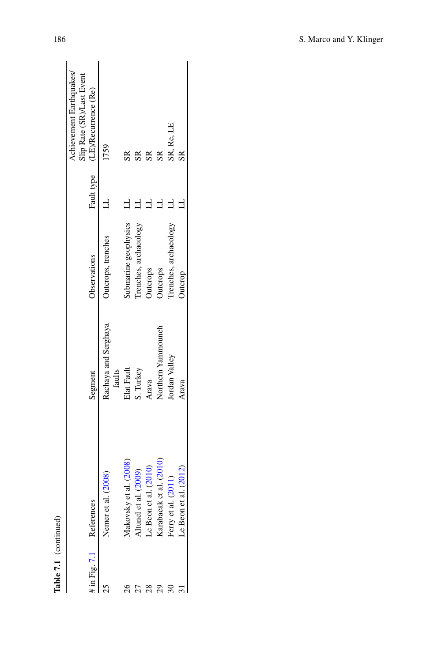| t in Fig. 7.1 References          | Segment                        | Observations          | Fault type | Achievement Earthquakes/<br>Slip Rate (SR)/Last Event<br>(LE)/Recurrence (Re) |
|-----------------------------------|--------------------------------|-----------------------|------------|-------------------------------------------------------------------------------|
| Nemer et al. (2008)               | Rachaya and Serghaya<br>faults | Outcrops, trenches    |            | 1759                                                                          |
| et al. (2008)<br>Makovsky         | Elat Fault                     | Submarine geophysics  |            |                                                                               |
| Itunel et al. (2009)              | S. Turkey                      | Trenches, archaeology |            | ⊭                                                                             |
| al. (2010)<br>Le Beon et          | rava                           | <b>Jutcrops</b>       |            | g                                                                             |
| et al. (2010)<br><b>Karabacak</b> | Northern Yammouneh             | Jutcrops              |            | $\frac{\alpha}{2}$                                                            |
| (2011)<br>Ferry et al.            | Jordan Valley                  | Trenches, archaeology |            | SR, Re, LE                                                                    |
| al. (2012)<br>Le Beon et          | <b>Arava</b>                   | Outcrop               |            |                                                                               |
|                                   |                                |                       |            |                                                                               |

**Table 7.1** (continued)

Table 7.1 (continued)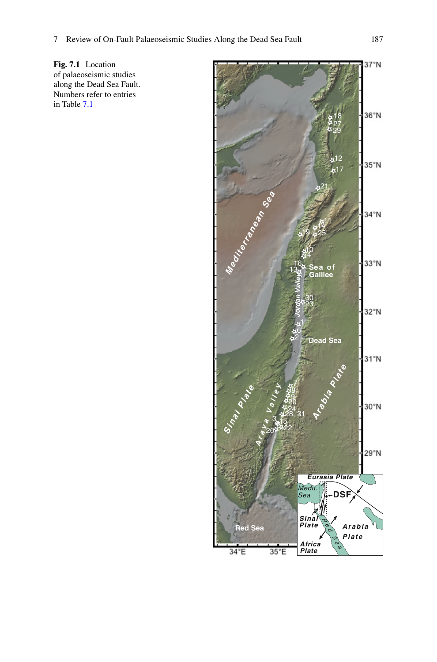<span id="page-4-0"></span>

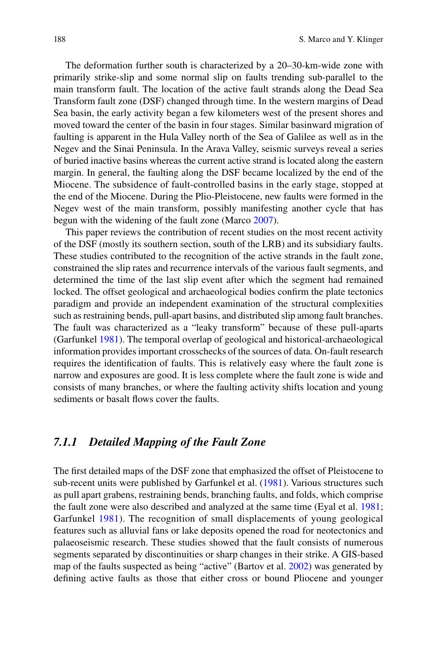The deformation further south is characterized by a 20–30-km-wide zone with primarily strike-slip and some normal slip on faults trending sub-parallel to the main transform fault. The location of the active fault strands along the Dead Sea Transform fault zone (DSF) changed through time. In the western margins of Dead Sea basin, the early activity began a few kilometers west of the present shores and moved toward the center of the basin in four stages. Similar basinward migration of faulting is apparent in the Hula Valley north of the Sea of Galilee as well as in the Negev and the Sinai Peninsula. In the Arava Valley, seismic surveys reveal a series of buried inactive basins whereas the current active strand is located along the eastern margin. In general, the faulting along the DSF became localized by the end of the Miocene. The subsidence of fault-controlled basins in the early stage, stopped at the end of the Miocene. During the Plio-Pleistocene, new faults were formed in the Negev west of the main transform, possibly manifesting another cycle that has begun with the widening of the fault zone (Marco 2007).

 This paper reviews the contribution of recent studies on the most recent activity of the DSF (mostly its southern section, south of the LRB) and its subsidiary faults. These studies contributed to the recognition of the active strands in the fault zone, constrained the slip rates and recurrence intervals of the various fault segments, and determined the time of the last slip event after which the segment had remained locked. The offset geological and archaeological bodies confirm the plate tectonics paradigm and provide an independent examination of the structural complexities such as restraining bends, pull-apart basins, and distributed slip among fault branches. The fault was characterized as a "leaky transform" because of these pull-aparts (Garfunkel 1981). The temporal overlap of geological and historical-archaeological information provides important crosschecks of the sources of data. On-fault research requires the identification of faults. This is relatively easy where the fault zone is narrow and exposures are good. It is less complete where the fault zone is wide and consists of many branches, or where the faulting activity shifts location and young sediments or basalt flows cover the faults.

# *7.1.1 Detailed Mapping of the Fault Zone*

The first detailed maps of the DSF zone that emphasized the offset of Pleistocene to sub-recent units were published by Garfunkel et al. (1981). Various structures such as pull apart grabens, restraining bends, branching faults, and folds, which comprise the fault zone were also described and analyzed at the same time (Eyal et al. [1981 ;](#page-18-0) Garfunkel 1981). The recognition of small displacements of young geological features such as alluvial fans or lake deposits opened the road for neotectonics and palaeoseismic research. These studies showed that the fault consists of numerous segments separated by discontinuities or sharp changes in their strike. A GIS-based map of the faults suspected as being "active" (Bartov et al. [2002](#page-17-0)) was generated by defining active faults as those that either cross or bound Pliocene and younger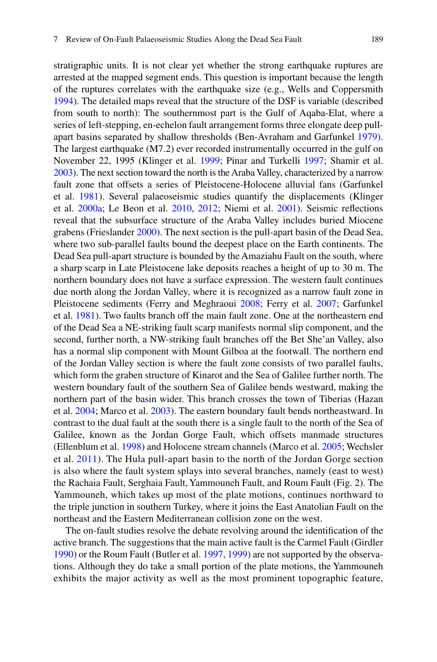stratigraphic units. It is not clear yet whether the strong earthquake ruptures are arrested at the mapped segment ends. This question is important because the length of the ruptures correlates with the earthquake size (e.g., Wells and Coppersmith 1994). The detailed maps reveal that the structure of the DSF is variable (described from south to north): The southernmost part is the Gulf of Aqaba-Elat, where a series of left-stepping, en-echelon fault arrangement forms three elongate deep pullapart basins separated by shallow thresholds (Ben-Avraham and Garfunkel 1979). The largest earthquake (M7.2) ever recorded instrumentally occurred in the gulf on November 22, 1995 (Klinger et al. [1999](#page-19-0) ; Pinar and Turkelli [1997 ;](#page-20-0) Shamir et al. [2003](#page-21-0) ). The next section toward the north is the Araba Valley, characterized by a narrow fault zone that offsets a series of Pleistocene-Holocene alluvial fans (Garfunkel et al. 1981). Several palaeoseismic studies quantify the displacements (Klinger et al.  $2000a$ ; Le Beon et al.  $2010$ ,  $2012$ ; Niemi et al.  $2001$ ). Seismic reflections reveal that the subsurface structure of the Araba Valley includes buried Miocene grabens (Frieslander 2000). The next section is the pull-apart basin of the Dead Sea, where two sub-parallel faults bound the deepest place on the Earth continents. The Dead Sea pull-apart structure is bounded by the Amaziahu Fault on the south, where a sharp scarp in Late Pleistocene lake deposits reaches a height of up to 30 m. The northern boundary does not have a surface expression. The western fault continues due north along the Jordan Valley, where it is recognized as a narrow fault zone in Pleistocene sediments (Ferry and Meghraoui 2008; Ferry et al. [2007](#page-18-0); Garfunkel et al. [1981](#page-19-0)). Two faults branch off the main fault zone. One at the northeastern end of the Dead Sea a NE-striking fault scarp manifests normal slip component, and the second, further north, a NW-striking fault branches off the Bet She'an Valley, also has a normal slip component with Mount Gilboa at the footwall. The northern end of the Jordan Valley section is where the fault zone consists of two parallel faults, which form the graben structure of Kinarot and the Sea of Galilee further north. The western boundary fault of the southern Sea of Galilee bends westward, making the northern part of the basin wider. This branch crosses the town of Tiberias (Hazan et al. 2004; Marco et al. 2003). The eastern boundary fault bends northeastward. In contrast to the dual fault at the south there is a single fault to the north of the Sea of Galilee, known as the Jordan Gorge Fault, which offsets manmade structures (Ellenblum et al. [1998](#page-18-0)) and Holocene stream channels (Marco et al. 2005; Wechsler et al. [2011](#page-22-0) ). The Hula pull-apart basin to the north of the Jordan Gorge section is also where the fault system splays into several branches, namely (east to west) the Rachaia Fault, Serghaia Fault, Yammouneh Fault, and Roum Fault (Fig. 2). The Yammouneh, which takes up most of the plate motions, continues northward to the triple junction in southern Turkey, where it joins the East Anatolian Fault on the northeast and the Eastern Mediterranean collision zone on the west.

The on-fault studies resolve the debate revolving around the identification of the active branch. The suggestions that the main active fault is the Carmel Fault (Girdler [1990 \)](#page-19-0) or the Roum Fault (Butler et al. [1997](#page-18-0) , [1999 \)](#page-18-0) are not supported by the observations. Although they do take a small portion of the plate motions, the Yammouneh exhibits the major activity as well as the most prominent topographic feature,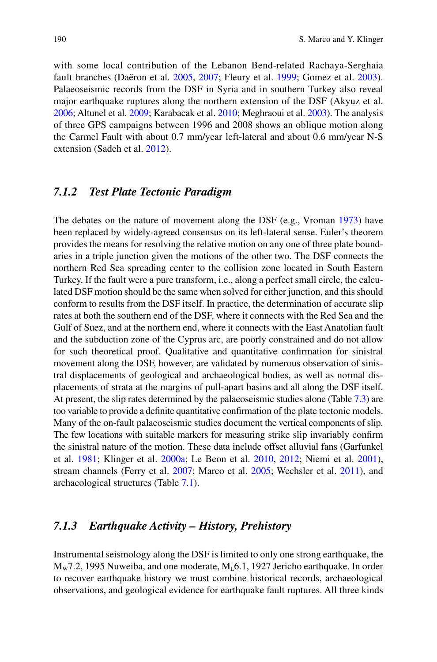with some local contribution of the Lebanon Bend-related Rachaya-Serghaia fault branches (Daëron et al. [2005](#page-18-0), 2007; Fleury et al. [1999](#page-18-0); Gomez et al. 2003). Palaeoseismic records from the DSF in Syria and in southern Turkey also reveal major earthquake ruptures along the northern extension of the DSF (Akyuz et al. [2006](#page-17-0); Altunel et al. [2009](#page-17-0); Karabacak et al. 2010; Meghraoui et al. 2003). The analysis of three GPS campaigns between 1996 and 2008 shows an oblique motion along the Carmel Fault with about 0.7 mm/year left-lateral and about 0.6 mm/year N-S extension (Sadeh et al. 2012).

# *7.1.2 Test Plate Tectonic Paradigm*

The debates on the nature of movement along the DSF (e.g., Vroman [1973](#page-21-0)) have been replaced by widely-agreed consensus on its left-lateral sense. Euler's theorem provides the means for resolving the relative motion on any one of three plate boundaries in a triple junction given the motions of the other two. The DSF connects the northern Red Sea spreading center to the collision zone located in South Eastern Turkey. If the fault were a pure transform, i.e., along a perfect small circle, the calculated DSF motion should be the same when solved for either junction, and this should conform to results from the DSF itself. In practice, the determination of accurate slip rates at both the southern end of the DSF, where it connects with the Red Sea and the Gulf of Suez, and at the northern end, where it connects with the East Anatolian fault and the subduction zone of the Cyprus arc, are poorly constrained and do not allow for such theoretical proof. Qualitative and quantitative confirmation for sinistral movement along the DSF, however, are validated by numerous observation of sinistral displacements of geological and archaeological bodies, as well as normal displacements of strata at the margins of pull-apart basins and all along the DSF itself. At present, the slip rates determined by the palaeoseismic studies alone (Table [7.3](#page-11-0)) are too variable to provide a definite quantitative confirmation of the plate tectonic models. Many of the on-fault palaeoseismic studies document the vertical components of slip. The few locations with suitable markers for measuring strike slip invariably confirm the sinistral nature of the motion. These data include offset alluvial fans (Garfunkel et al. 1981; Klinger et al. [2000a](#page-19-0); Le Beon et al. [2010](#page-20-0), [2012](#page-20-0); Niemi et al. 2001), stream channels (Ferry et al. 2007; Marco et al. 2005; Wechsler et al. 2011), and archaeological structures (Table [7.1 \)](#page-2-0).

#### *7.1.3 Earthquake Activity – History, Prehistory*

 Instrumental seismology along the DSF is limited to only one strong earthquake, the  $M<sub>w</sub>$ 7.2, 1995 Nuweiba, and one moderate,  $M<sub>L</sub>$ 6.1, 1927 Jericho earthquake. In order to recover earthquake history we must combine historical records, archaeological observations, and geological evidence for earthquake fault ruptures. All three kinds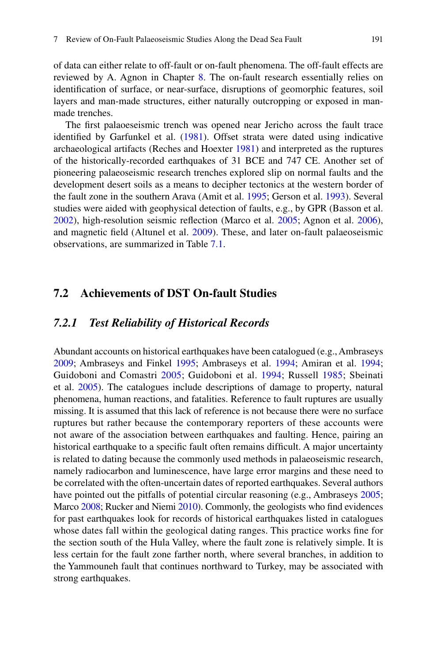of data can either relate to off-fault or on-fault phenomena. The off-fault effects are reviewed by A. Agnon in Chapter [8.](http://dx.doi.org/10.1007/978-94-017-8872-4_8) The on-fault research essentially relies on identification of surface, or near-surface, disruptions of geomorphic features, soil layers and man-made structures, either naturally outcropping or exposed in manmade trenches.

The first palaoeseismic trench was opened near Jericho across the fault trace identified by Garfunkel et al.  $(1981)$ . Offset strata were dated using indicative archaeological artifacts (Reches and Hoexter [1981](#page-21-0) ) and interpreted as the ruptures of the historically-recorded earthquakes of 31 BCE and 747 CE. Another set of pioneering palaeoseismic research trenches explored slip on normal faults and the development desert soils as a means to decipher tectonics at the western border of the fault zone in the southern Arava (Amit et al. [1995](#page-17-0) ; Gerson et al. [1993](#page-19-0) ). Several studies were aided with geophysical detection of faults, e.g., by GPR (Basson et al.  $2002$ ), high-resolution seismic reflection (Marco et al.  $2005$ ; Agnon et al.  $2006$ ), and magnetic field (Altunel et al. 2009). These, and later on-fault palaeoseismic observations, are summarized in Table [7.1](#page-2-0) .

# **7.2 Achievements of DST On-fault Studies**

#### *7.2.1 Test Reliability of Historical Records*

 Abundant accounts on historical earthquakes have been catalogued (e.g., Ambraseys 2009; Ambraseys and Finkel 1995; Ambraseys et al. 1994; Amiran et al. 1994; Guidoboni and Comastri 2005; Guidoboni et al. [1994](#page-19-0); Russell 1985; Sbeinati et al.  $2005$ ). The catalogues include descriptions of damage to property, natural phenomena, human reactions, and fatalities. Reference to fault ruptures are usually missing. It is assumed that this lack of reference is not because there were no surface ruptures but rather because the contemporary reporters of these accounts were not aware of the association between earthquakes and faulting. Hence, pairing an historical earthquake to a specific fault often remains difficult. A major uncertainty is related to dating because the commonly used methods in palaeoseismic research, namely radiocarbon and luminescence, have large error margins and these need to be correlated with the often-uncertain dates of reported earthquakes. Several authors have pointed out the pitfalls of potential circular reasoning (e.g., Ambraseys 2005; Marco 2008; Rucker and Niemi 2010). Commonly, the geologists who find evidences for past earthquakes look for records of historical earthquakes listed in catalogues whose dates fall within the geological dating ranges. This practice works fine for the section south of the Hula Valley, where the fault zone is relatively simple. It is less certain for the fault zone farther north, where several branches, in addition to the Yammouneh fault that continues northward to Turkey, may be associated with strong earthquakes.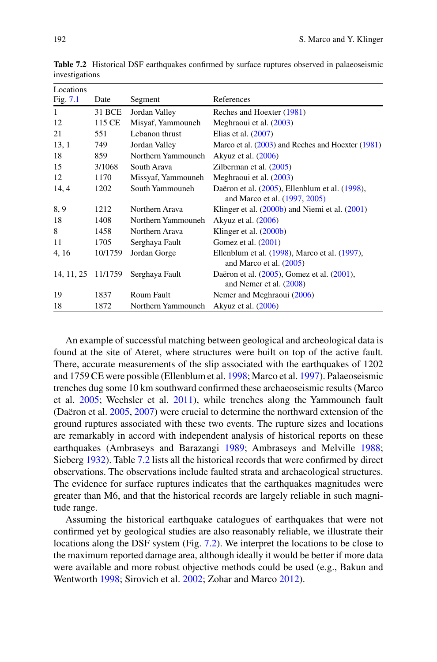| Locations  |         |                    |                                                                                 |
|------------|---------|--------------------|---------------------------------------------------------------------------------|
| Fig. 7.1   | Date    | Segment            | References                                                                      |
| 1          | 31 BCE  | Jordan Valley      | Reches and Hoexter (1981)                                                       |
| 12         | 115 CE  | Misyaf, Yammouneh  | Meghraoui et al. (2003)                                                         |
| 21         | 551     | Lebanon thrust     | Elias et al. $(2007)$                                                           |
| 13, 1      | 749     | Jordan Valley      | Marco et al. (2003) and Reches and Hoexter (1981)                               |
| 18         | 859     | Northern Yammouneh | Akyuz et al. (2006)                                                             |
| 15         | 3/1068  | South Arava        | Zilberman et al. $(2005)$                                                       |
| 12         | 1170    | Missyaf, Yammouneh | Meghraoui et al. (2003)                                                         |
| 14, 4      | 1202    | South Yammouneh    | Daëron et al. (2005), Ellenblum et al. (1998),<br>and Marco et al. (1997, 2005) |
| 8, 9       | 1212    | Northern Arava     | Klinger et al. $(2000b)$ and Niemi et al. $(2001)$                              |
| 18         | 1408    | Northern Yammouneh | Akyuz et al. (2006)                                                             |
| 8          | 1458    | Northern Arava     | Klinger et al. (2000b)                                                          |
| 11         | 1705    | Serghaya Fault     | Gomez et al. (2001)                                                             |
| 4, 16      | 10/1759 | Jordan Gorge       | Ellenblum et al. (1998), Marco et al. (1997),<br>and Marco et al. (2005)        |
| 14, 11, 25 | 11/1759 | Serghaya Fault     | Daëron et al. (2005), Gomez et al. (2001),<br>and Nemer et al. (2008)           |
| 19         | 1837    | Roum Fault         | Nemer and Meghraoui (2006)                                                      |
| 18         | 1872    | Northern Yammouneh | Akyuz et al. (2006)                                                             |

<span id="page-9-0"></span>**Table 7.2** Historical DSF earthquakes confirmed by surface ruptures observed in palaeoseismic investigations

 An example of successful matching between geological and archeological data is found at the site of Ateret, where structures were built on top of the active fault. There, accurate measurements of the slip associated with the earthquakes of 1202 and 1759 CE were possible (Ellenblum et al. [1998 ;](#page-18-0) Marco et al. [1997](#page-20-0) ). Palaeoseismic trenches dug some 10 km southward confirmed these archaeoseismic results (Marco et al. 2005; Wechsler et al. [2011](#page-22-0)), while trenches along the Yammouneh fault (Daëron et al. [2005](#page-18-0), [2007](#page-18-0)) were crucial to determine the northward extension of the ground ruptures associated with these two events. The rupture sizes and locations are remarkably in accord with independent analysis of historical reports on these earthquakes (Ambraseys and Barazangi 1989; Ambraseys and Melville 1988; Sieberg [1932](#page-21-0)). Table 7.2 lists all the historical records that were confirmed by direct observations. The observations include faulted strata and archaeological structures. The evidence for surface ruptures indicates that the earthquakes magnitudes were greater than M6, and that the historical records are largely reliable in such magnitude range.

 Assuming the historical earthquake catalogues of earthquakes that were not confirmed yet by geological studies are also reasonably reliable, we illustrate their locations along the DSF system (Fig. [7.2](#page-10-0)). We interpret the locations to be close to the maximum reported damage area, although ideally it would be better if more data were available and more robust objective methods could be used (e.g., Bakun and Wentworth [1998](#page-17-0); Sirovich et al. 2002; Zohar and Marco [2012](#page-22-0)).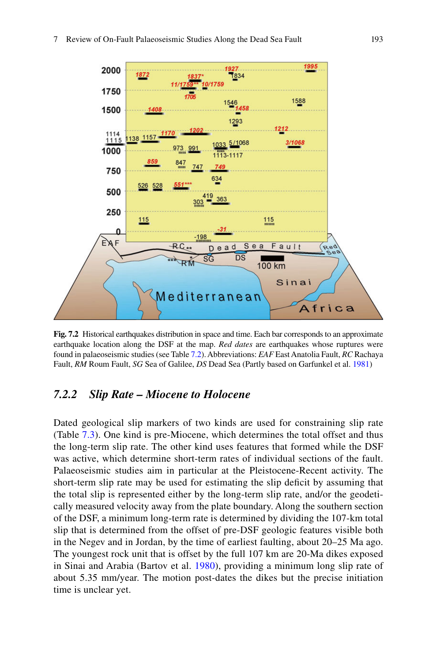<span id="page-10-0"></span>

 **Fig. 7.2** Historical earthquakes distribution in space and time. Each bar corresponds to an approximate earthquake location along the DSF at the map. *Red dates* are earthquakes whose ruptures were found in palaeoseismic studies (see Table [7.2 \)](#page-9-0). Abbreviations: *EAF* East Anatolia Fault, *RC* Rachaya Fault, *RM* Roum Fault, *SG* Sea of Galilee, *DS* Dead Sea (Partly based on Garfunkel et al. [1981 \)](#page-19-0)

# *7.2.2 Slip Rate – Miocene to Holocene*

 Dated geological slip markers of two kinds are used for constraining slip rate (Table [7.3](#page-11-0) ). One kind is pre-Miocene, which determines the total offset and thus the long-term slip rate. The other kind uses features that formed while the DSF was active, which determine short-term rates of individual sections of the fault. Palaeoseismic studies aim in particular at the Pleistocene-Recent activity. The short-term slip rate may be used for estimating the slip deficit by assuming that the total slip is represented either by the long-term slip rate, and/or the geodetically measured velocity away from the plate boundary. Along the southern section of the DSF, a minimum long-term rate is determined by dividing the 107-km total slip that is determined from the offset of pre-DSF geologic features visible both in the Negev and in Jordan, by the time of earliest faulting, about 20–25 Ma ago. The youngest rock unit that is offset by the full 107 km are 20-Ma dikes exposed in Sinai and Arabia (Bartov et al. [1980](#page-17-0)), providing a minimum long slip rate of about 5.35 mm/year. The motion post-dates the dikes but the precise initiation time is unclear yet.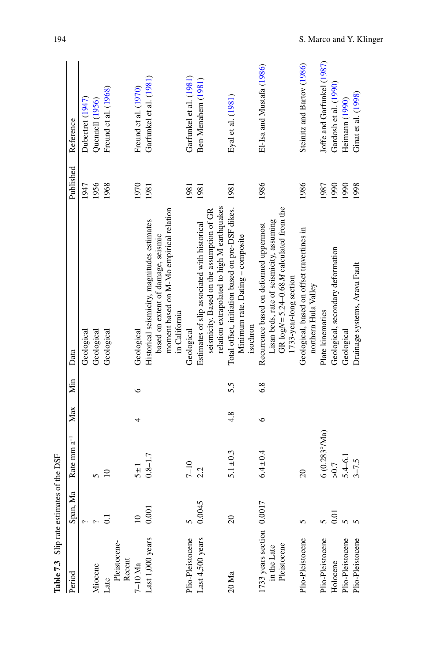| Table 7.3 Slip rate estimates of the DSF               |             |                  |         |         |                                                                                                                                                               |           |                            |
|--------------------------------------------------------|-------------|------------------|---------|---------|---------------------------------------------------------------------------------------------------------------------------------------------------------------|-----------|----------------------------|
| Period                                                 | Ma<br>Span, | Rate mm $a^{-1}$ | Max     | Мin     | Data                                                                                                                                                          | Published | Reference                  |
|                                                        |             |                  |         |         | Geological                                                                                                                                                    | 1947      | Dubertret (1947)           |
| Miocene                                                |             |                  |         |         | Geological                                                                                                                                                    | 1956      | Quennell (1956)            |
| Late                                                   |             | $\Xi$            |         |         | Geological                                                                                                                                                    | 1968      | Freund et al. (1968)       |
| Pleistocene-<br>Recent                                 |             |                  |         |         |                                                                                                                                                               |           |                            |
| $7-10$ Ma                                              |             | $5 \pm 1$        | 4       | $\circ$ | Geological                                                                                                                                                    | 076       | Freund et al. (1970)       |
| Last 1,000 years                                       | 0.001       | $0.8 - 1.7$      |         |         | Historical seismicity, magnitudes estimates<br>based on extent of damage, seismic                                                                             | 1981      | Garfunkel et al. (1981)    |
|                                                        |             |                  |         |         | moment based on M-Mo empirical relation<br>in California                                                                                                      |           |                            |
| Plio-Pleistocene                                       |             | $7 - 10$         |         |         | Geological                                                                                                                                                    | 1981      | Garfunkel et al. (1981)    |
| Last 4,500 years                                       | 0.004       | 2.2              |         |         | seismicity. Based on the assumption of GR<br>Estimates of slip associated with historical                                                                     | 1981      | Ben-Menahem (1981)         |
|                                                        |             |                  |         |         | relation extrapolated to high M earthquakes                                                                                                                   |           |                            |
| 20 Ma                                                  | 20          | $5.1 \pm 0.3$    | 4.8     | 5.5     | Total offset, initiation based on pre-DSF dikes.<br>Minimum rate. Dating - composite<br>isochron                                                              | 1981      | Eyal et al. (1981)         |
| 1733 years section 0.001<br>Pleistocene<br>in the Late |             | $6.4 \pm 0.4$    | $\circ$ | 6.8     | GR $logN = 5.24 - 0.68 M$ calculated from the<br>Lisan beds, rate of seismicity, assuming<br>Recurrence based on deformed uppermost<br>1733-year-long section | 1986      | El-Isa and Mustafa (1986)  |
| Plio-Pleistocene                                       | 5           | $\overline{20}$  |         |         | Geological, based on offset travertines in<br>northern Hula Valley                                                                                            | 1986      | Steinitz and Bartov (1986) |
| Plio-Pleistocene                                       |             | $6(0.283°)$ Ma)  |         |         | Plate kinematics                                                                                                                                              | 1987      | Joffe and Garfunkel (1987) |
| Holocene                                               | 0.01        | > 0.7            |         |         | Geological, secondary deformation                                                                                                                             | 1990      | Gardosh et al. (1990)      |
| Plio-Pleistocene                                       |             | $5.4 - 6.1$      |         |         | Geological                                                                                                                                                    | 1990      | Heimann (1990)             |
| Plio-Pleistocene                                       |             | $3 - 7.5$        |         |         | Drainage systems, Arava Fault                                                                                                                                 | 1998      | Ginat et al. $(1998)$      |

<span id="page-11-0"></span>194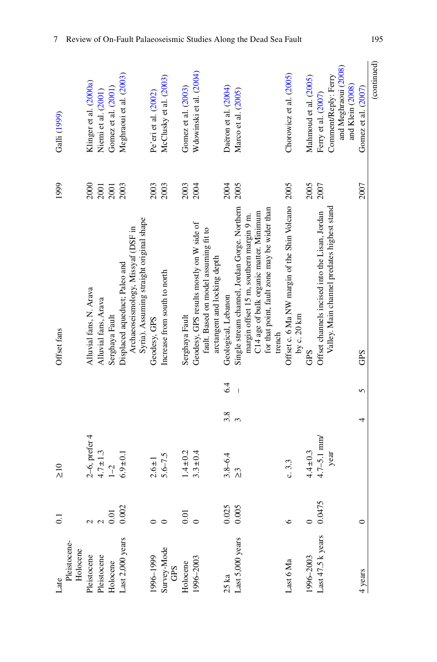| Late                     | $\overline{c}$ | $\frac{1}{2}$    |          |     | Offset fans                                                                                                                                                                                    | 1999        | Galli (1999)                                                     |
|--------------------------|----------------|------------------|----------|-----|------------------------------------------------------------------------------------------------------------------------------------------------------------------------------------------------|-------------|------------------------------------------------------------------|
| Pleistocene-<br>Holocene |                |                  |          |     |                                                                                                                                                                                                |             |                                                                  |
| Pleistocene              |                | $2-6$ , prefer 4 |          |     | Alluvial fans, N. Arava                                                                                                                                                                        | 2000        | Klinger et al. (2000a)                                           |
| Pleistocene              |                | $4.7 \pm 1.3$    |          |     | Alluvial fans, Arava                                                                                                                                                                           | 2001        | Niemi et al. (2001)                                              |
| Holocene                 | 0.01           | $1 - 2$          |          |     | Serghaya Fault                                                                                                                                                                                 | 2001        | Gomez et al. (2001)                                              |
| Last 2,000 years         | 0.002          | $6.9 \pm 0.1$    |          |     | Syria). Assuming straight original shape<br>Archaeoseismology, Missyaf (DSF in<br>Displaced aqueduct; Paleo and                                                                                | 2003        | Meghraoui et al. (2003)                                          |
| 996-1999                 |                | $2.6 \pm 1$      |          |     | Geodesy, GPS                                                                                                                                                                                   | 2003        | Pe'eri et al. (2002)                                             |
| Survey-Mode<br>GPS       |                | $5.6 - 7.5$      |          |     | Increase from south to north                                                                                                                                                                   | 2003        | McClusky et al. (2003)                                           |
| Holocene                 | 0.01           | $1.4 \pm 0.2$    |          |     | Serghaya Fault                                                                                                                                                                                 | 2003        | Gomez et al. (2003)                                              |
| 1996-2003                |                | $3.3 \pm 0.4$    |          |     | Geodesy, GPS results mostly on W side of<br>fault. Based on model assuming fit to<br>arctangent and locking depth                                                                              | <b>2004</b> | Wdowinski et al. (2004)                                          |
| 25 ka                    | 0.025          | $3.8 - 6.4$      | 3.8      | 6.4 | Geological, Lebanon                                                                                                                                                                            | 2004        | Daëron et al. (2004)                                             |
| Last 5,000 years         | 0.005          | $\lesssim$       | $\infty$ |     | Single stream channel, Jordan Gorge. Northern<br>for that point, fault zone may be wider than<br>C14 age of bulk organic matter. Minimum<br>margin offset 15 m, southern margin 9 m.<br>trench | 2005        | Marco et al. (2005)                                              |
| Last 6 Ma                | ৩              | c.3.3            |          |     | Offset c. 6 Ma NW margin of the Shin Volcano 2005<br>by c. 20 km                                                                                                                               |             | Chorowicz et al. (2005)                                          |
| 996-2003                 |                | $4.4 \pm 0.3$    |          |     | GPS                                                                                                                                                                                            | 2005        | Mahmoud et al. (2005)                                            |
| ast 47.5 k years         | 0.0475         | $4.7 - 5.1$ mm/  |          |     | Offset channels incised into the Lisan, Jordan                                                                                                                                                 | 2007        | Ferry et al. (2007)                                              |
|                          |                | year             |          |     | Valley. Main channel predates highest stand                                                                                                                                                    |             | and Meghraoui (2008)<br>Comment/Reply: Ferry<br>and Klein (2008) |
| 4 years                  | 0              |                  | 4        | 5   | GPS                                                                                                                                                                                            | 2007        | Gomez et al. (2007)                                              |
|                          |                |                  |          |     |                                                                                                                                                                                                |             | (continued)                                                      |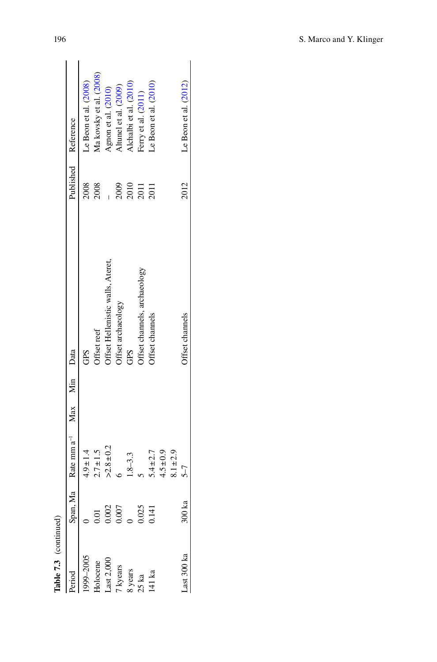| Table 7.3 (continued)                                  |                                                                                            |                                  |  |                                   |                     |                         |
|--------------------------------------------------------|--------------------------------------------------------------------------------------------|----------------------------------|--|-----------------------------------|---------------------|-------------------------|
|                                                        | Span,                                                                                      | Ma Rate mm $a^{-1}$ Max Min Data |  |                                   | Published Reference |                         |
| 999-2005                                               |                                                                                            | $4.9 \pm 1.4$                    |  | GPS                               | 2008                | Le Beon et al. (2008)   |
|                                                        |                                                                                            | $2.7 \pm 1.5$                    |  | Offset reef                       | 2008                | Ma kovsky et al. (2008) |
| Holocene<br>Last 2,000<br>7 kyears<br>8 years<br>25 ka | $\begin{array}{c} 0.01 \\ 0.002 \\ 0.007 \\ 0.007 \\ 0.025 \\ 0.0141 \\ 0.141 \end{array}$ | $>2.8 \pm 0.2$                   |  | Offset Hellenistic walls, Ateret, |                     | Agnon et al. (2010)     |
|                                                        |                                                                                            |                                  |  | Offset archaeology                | 2009                | Altunel et al. (2009)   |
|                                                        |                                                                                            | $1.8 - 3.3$                      |  | GPS                               | 2010                | Alchalbi et al. (2010)  |
|                                                        |                                                                                            |                                  |  | Offset channels, archaeology      | 2011                | Ferry et al. (2011)     |
|                                                        |                                                                                            | $5.4 \pm 2.7$                    |  | Offset channels                   | 2011                | Le Beon et al. (2010)   |
|                                                        |                                                                                            | $4.5 \pm 0.9$                    |  |                                   |                     |                         |
|                                                        |                                                                                            | $8.1 \pm 2.9$                    |  |                                   |                     |                         |
| .ast 300 ka                                            | 800 ka                                                                                     | $5 - 7$                          |  | Offset channels                   | 2012                | Le Beon et al. $(2012)$ |
|                                                        |                                                                                            |                                  |  |                                   |                     |                         |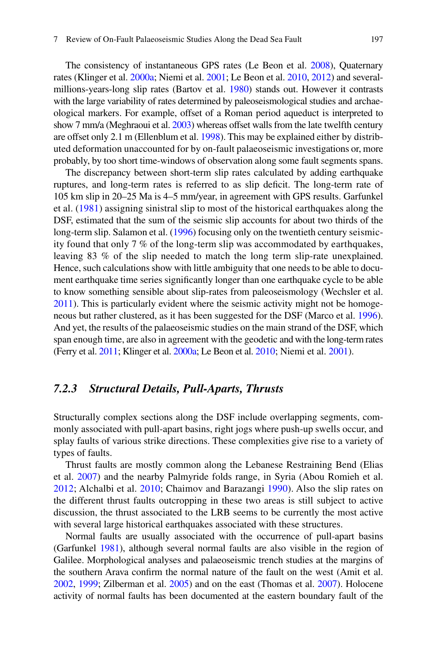The consistency of instantaneous GPS rates (Le Beon et al. [2008](#page-20-0)), Quaternary rates (Klinger et al. 2000a; Niemi et al. [2001](#page-20-0); Le Beon et al. 2010, 2012) and severalmillions-years-long slip rates (Bartov et al. [1980](#page-17-0) ) stands out. However it contrasts with the large variability of rates determined by paleoseismological studies and archaeological markers. For example, offset of a Roman period aqueduct is interpreted to show 7 mm/a (Meghraoui et al. [2003](#page-20-0)) whereas offset walls from the late twelfth century are offset only 2.1 m (Ellenblum et al. [1998 \)](#page-18-0). This may be explained either by distributed deformation unaccounted for by on-fault palaeoseismic investigations or, more probably, by too short time-windows of observation along some fault segments spans.

 The discrepancy between short-term slip rates calculated by adding earthquake ruptures, and long-term rates is referred to as slip deficit. The long-term rate of 105 km slip in 20–25 Ma is 4–5 mm/year, in agreement with GPS results. Garfunkel et al. [\( 1981 \)](#page-19-0) assigning sinistral slip to most of the historical earthquakes along the DSF, estimated that the sum of the seismic slip accounts for about two thirds of the long-term slip. Salamon et al. (1996) focusing only on the twentieth century seismicity found that only 7 % of the long-term slip was accommodated by earthquakes, leaving 83 % of the slip needed to match the long term slip-rate unexplained. Hence, such calculations show with little ambiguity that one needs to be able to document earthquake time series significantly longer than one earthquake cycle to be able to know something sensible about slip-rates from paleoseismology (Wechsler et al. 2011). This is particularly evident where the seismic activity might not be homogeneous but rather clustered, as it has been suggested for the DSF (Marco et al. 1996). And yet, the results of the palaeoseismic studies on the main strand of the DSF, which span enough time, are also in agreement with the geodetic and with the long- term rates (Ferry et al. 2011; Klinger et al. 2000a; Le Beon et al. 2010; Niemi et al. [2001](#page-20-0)).

#### *7.2.3 Structural Details, Pull-Aparts, Thrusts*

 Structurally complex sections along the DSF include overlapping segments, commonly associated with pull-apart basins, right jogs where push-up swells occur, and splay faults of various strike directions. These complexities give rise to a variety of types of faults.

 Thrust faults are mostly common along the Lebanese Restraining Bend (Elias et al. 2007) and the nearby Palmyride folds range, in Syria (Abou Romieh et al. [2012](#page-16-0); Alchalbi et al. [2010](#page-17-0); Chaimov and Barazangi [1990](#page-18-0)). Also the slip rates on the different thrust faults outcropping in these two areas is still subject to active discussion, the thrust associated to the LRB seems to be currently the most active with several large historical earthquakes associated with these structures.

 Normal faults are usually associated with the occurrence of pull-apart basins (Garfunkel [1981](#page-19-0)), although several normal faults are also visible in the region of Galilee. Morphological analyses and palaeoseismic trench studies at the margins of the southern Arava confirm the normal nature of the fault on the west (Amit et al.  $2002$ , 1999; Zilberman et al.  $2005$ ) and on the east (Thomas et al.  $2007$ ). Holocene activity of normal faults has been documented at the eastern boundary fault of the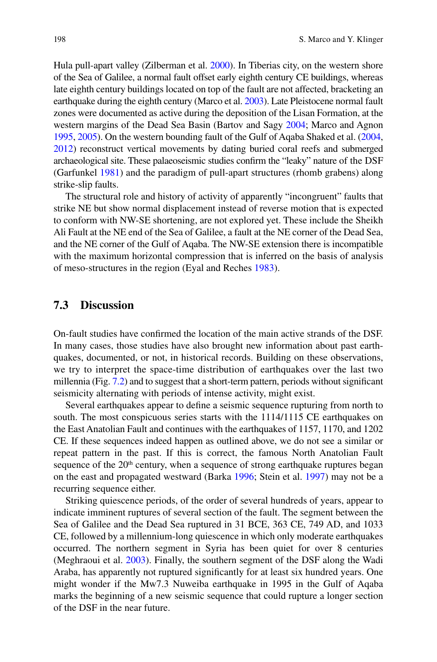Hula pull-apart valley (Zilberman et al. [2000](#page-22-0)). In Tiberias city, on the western shore of the Sea of Galilee, a normal fault offset early eighth century CE buildings, whereas late eighth century buildings located on top of the fault are not affected, bracketing an earthquake during the eighth century (Marco et al. [2003](#page-20-0)). Late Pleistocene normal fault zones were documented as active during the deposition of the Lisan Formation, at the western margins of the Dead Sea Basin (Bartov and Sagy [2004](#page-17-0); Marco and Agnon [1995 , 2005 \)](#page-20-0). On the western bounding fault of the Gulf of Aqaba Shaked et al. [\( 2004](#page-21-0) , [2012 \)](#page-21-0) reconstruct vertical movements by dating buried coral reefs and submerged archaeological site. These palaeoseismic studies confirm the "leaky" nature of the DSF (Garfunkel 1981) and the paradigm of pull-apart structures (rhomb grabens) along strike-slip faults.

 The structural role and history of activity of apparently "incongruent" faults that strike NE but show normal displacement instead of reverse motion that is expected to conform with NW-SE shortening, are not explored yet. These include the Sheikh Ali Fault at the NE end of the Sea of Galilee, a fault at the NE corner of the Dead Sea, and the NE corner of the Gulf of Aqaba. The NW-SE extension there is incompatible with the maximum horizontal compression that is inferred on the basis of analysis of meso-structures in the region (Eyal and Reches [1983 \)](#page-18-0).

#### **7.3 Discussion**

On-fault studies have confirmed the location of the main active strands of the DSF. In many cases, those studies have also brought new information about past earthquakes, documented, or not, in historical records. Building on these observations, we try to interpret the space-time distribution of earthquakes over the last two millennia (Fig.  $7.2$ ) and to suggest that a short-term pattern, periods without significant seismicity alternating with periods of intense activity, might exist.

Several earthquakes appear to define a seismic sequence rupturing from north to south. The most conspicuous series starts with the 1114/1115 CE earthquakes on the East Anatolian Fault and continues with the earthquakes of 1157, 1170, and 1202 CE. If these sequences indeed happen as outlined above, we do not see a similar or repeat pattern in the past. If this is correct, the famous North Anatolian Fault sequence of the  $20<sup>th</sup>$  century, when a sequence of strong earthquake ruptures began on the east and propagated westward (Barka 1996; Stein et al. [1997](#page-21-0)) may not be a recurring sequence either.

 Striking quiescence periods, of the order of several hundreds of years, appear to indicate imminent ruptures of several section of the fault. The segment between the Sea of Galilee and the Dead Sea ruptured in 31 BCE, 363 CE, 749 AD, and 1033 CE, followed by a millennium-long quiescence in which only moderate earthquakes occurred. The northern segment in Syria has been quiet for over 8 centuries (Meghraoui et al. 2003). Finally, the southern segment of the DSF along the Wadi Araba, has apparently not ruptured significantly for at least six hundred years. One might wonder if the Mw7.3 Nuweiba earthquake in 1995 in the Gulf of Aqaba marks the beginning of a new seismic sequence that could rupture a longer section of the DSF in the near future.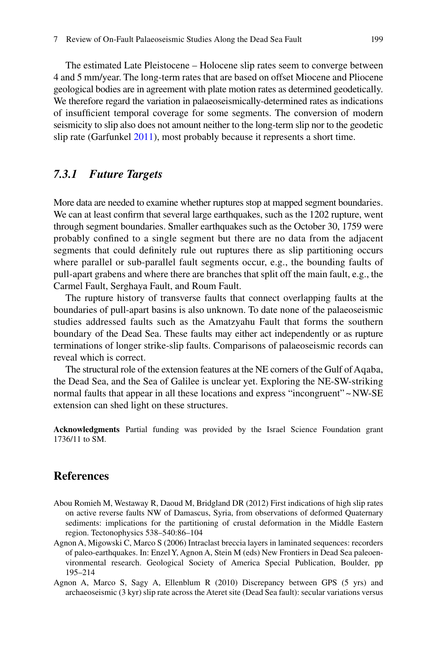<span id="page-16-0"></span> The estimated Late Pleistocene – Holocene slip rates seem to converge between 4 and 5 mm/year. The long-term rates that are based on offset Miocene and Pliocene geological bodies are in agreement with plate motion rates as determined geodetically. We therefore regard the variation in palaeoseismically-determined rates as indications of insufficient temporal coverage for some segments. The conversion of modern seismicity to slip also does not amount neither to the long-term slip nor to the geodetic slip rate (Garfunkel 2011), most probably because it represents a short time.

# *7.3.1 Future Targets*

 More data are needed to examine whether ruptures stop at mapped segment boundaries. We can at least confirm that several large earthquakes, such as the 1202 rupture, went through segment boundaries. Smaller earthquakes such as the October 30, 1759 were probably confined to a single segment but there are no data from the adjacent segments that could definitely rule out ruptures there as slip partitioning occurs where parallel or sub-parallel fault segments occur, e.g., the bounding faults of pull-apart grabens and where there are branches that split off the main fault, e.g., the Carmel Fault, Serghaya Fault, and Roum Fault.

 The rupture history of transverse faults that connect overlapping faults at the boundaries of pull-apart basins is also unknown. To date none of the palaeoseismic studies addressed faults such as the Amatzyahu Fault that forms the southern boundary of the Dead Sea. These faults may either act independently or as rupture terminations of longer strike-slip faults. Comparisons of palaeoseismic records can reveal which is correct.

 The structural role of the extension features at the NE corners of the Gulf of Aqaba, the Dead Sea, and the Sea of Galilee is unclear yet. Exploring the NE-SW- striking normal faults that appear in all these locations and express "incongruent" ~ NW-SE extension can shed light on these structures.

 **Acknowledgments** Partial funding was provided by the Israel Science Foundation grant 1736/11 to SM.

#### **References**

- Abou Romieh M, Westaway R, Daoud M, Bridgland DR (2012) First indications of high slip rates on active reverse faults NW of Damascus, Syria, from observations of deformed Quaternary sediments: implications for the partitioning of crustal deformation in the Middle Eastern region. Tectonophysics 538–540:86–104
- Agnon A, Migowski C, Marco S (2006) Intraclast breccia layers in laminated sequences: recorders of paleo-earthquakes. In: Enzel Y, Agnon A, Stein M (eds) New Frontiers in Dead Sea paleoenvironmental research. Geological Society of America Special Publication, Boulder, pp 195–214
- Agnon A, Marco S, Sagy A, Ellenblum R (2010) Discrepancy between GPS (5 yrs) and archaeoseismic (3 kyr) slip rate across the Ateret site (Dead Sea fault): secular variations versus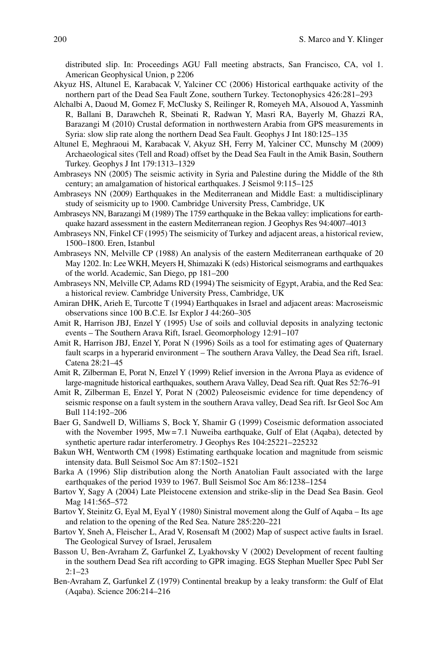<span id="page-17-0"></span>distributed slip. In: Proceedings AGU Fall meeting abstracts, San Francisco, CA, vol 1. American Geophysical Union, p 2206

- Akyuz HS, Altunel E, Karabacak V, Yalciner CC (2006) Historical earthquake activity of the northern part of the Dead Sea Fault Zone, southern Turkey. Tectonophysics 426:281–293
- Alchalbi A, Daoud M, Gomez F, McClusky S, Reilinger R, Romeyeh MA, Alsouod A, Yassminh R, Ballani B, Darawcheh R, Sbeinati R, Radwan Y, Masri RA, Bayerly M, Ghazzi RA, Barazangi M (2010) Crustal deformation in northwestern Arabia from GPS measurements in Syria: slow slip rate along the northern Dead Sea Fault. Geophys J Int 180:125–135
- Altunel E, Meghraoui M, Karabacak V, Akyuz SH, Ferry M, Yalciner CC, Munschy M (2009) Archaeological sites (Tell and Road) offset by the Dead Sea Fault in the Amik Basin, Southern Turkey. Geophys J Int 179:1313–1329
- Ambraseys NN (2005) The seismic activity in Syria and Palestine during the Middle of the 8th century; an amalgamation of historical earthquakes. J Seismol 9:115–125
- Ambraseys NN (2009) Earthquakes in the Mediterranean and Middle East: a multidisciplinary study of seismicity up to 1900. Cambridge University Press, Cambridge, UK
- Ambraseys NN, Barazangi M (1989) The 1759 earthquake in the Bekaa valley: implications for earthquake hazard assessment in the eastern Mediterranean region. J Geophys Res 94:4007–4013
- Ambraseys NN, Finkel CF (1995) The seismicity of Turkey and adjacent areas, a historical review, 1500–1800. Eren, Istanbul
- Ambraseys NN, Melville CP (1988) An analysis of the eastern Mediterranean earthquake of 20 May 1202. In: Lee WKH, Meyers H, Shimazaki K (eds) Historical seismograms and earthquakes of the world. Academic, San Diego, pp 181–200
- Ambraseys NN, Melville CP, Adams RD (1994) The seismicity of Egypt, Arabia, and the Red Sea: a historical review. Cambridge University Press, Cambridge, UK
- Amiran DHK, Arieh E, Turcotte T (1994) Earthquakes in Israel and adjacent areas: Macroseismic observations since 100 B.C.E. Isr Explor J 44:260–305
- Amit R, Harrison JBJ, Enzel Y (1995) Use of soils and colluvial deposits in analyzing tectonic events – The Southern Arava Rift, Israel. Geomorphology 12:91–107
- Amit R, Harrison JBJ, Enzel Y, Porat N (1996) Soils as a tool for estimating ages of Quaternary fault scarps in a hyperarid environment – The southern Arava Valley, the Dead Sea rift, Israel. Catena 28:21–45
- Amit R, Zilberman E, Porat N, Enzel Y (1999) Relief inversion in the Avrona Playa as evidence of large-magnitude historical earthquakes, southern Arava Valley, Dead Sea rift. Quat Res 52:76–91
- Amit R, Zilberman E, Enzel Y, Porat N (2002) Paleoseismic evidence for time dependency of seismic response on a fault system in the southern Arava valley, Dead Sea rift. Isr Geol Soc Am Bull 114:192–206
- Baer G, Sandwell D, Williams S, Bock Y, Shamir G (1999) Coseismic deformation associated with the November 1995,  $Mw = 7.1$  Nuweiba earthquake, Gulf of Elat (Aqaba), detected by synthetic aperture radar interferometry. J Geophys Res 104:25221–225232
- Bakun WH, Wentworth CM (1998) Estimating earthquake location and magnitude from seismic intensity data. Bull Seismol Soc Am 87:1502–1521
- Barka A (1996) Slip distribution along the North Anatolian Fault associated with the large earthquakes of the period 1939 to 1967. Bull Seismol Soc Am 86:1238–1254
- Bartov Y, Sagy A (2004) Late Pleistocene extension and strike-slip in the Dead Sea Basin. Geol Mag 141:565–572
- Bartov Y, Steinitz G, Eyal M, Eyal Y (1980) Sinistral movement along the Gulf of Aqaba Its age and relation to the opening of the Red Sea. Nature 285:220–221
- Bartov Y, Sneh A, Fleischer L, Arad V, Rosensaft M (2002) Map of suspect active faults in Israel. The Geological Survey of Israel, Jerusalem
- Basson U, Ben-Avraham Z, Garfunkel Z, Lyakhovsky V (2002) Development of recent faulting in the southern Dead Sea rift according to GPR imaging. EGS Stephan Mueller Spec Publ Ser 2:1–23
- Ben-Avraham Z, Garfunkel Z (1979) Continental breakup by a leaky transform: the Gulf of Elat (Aqaba). Science 206:214–216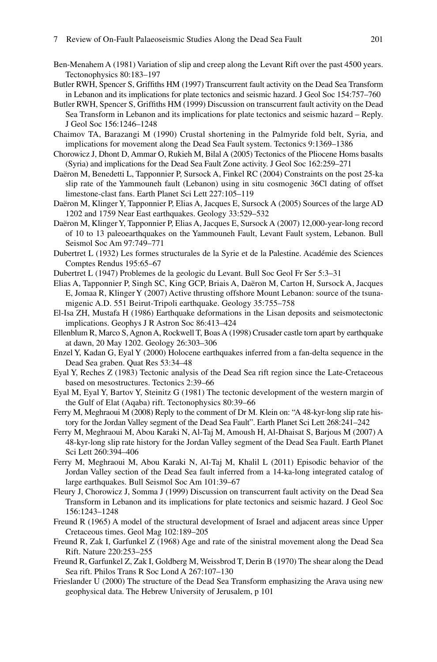- <span id="page-18-0"></span> Ben-Menahem A (1981) Variation of slip and creep along the Levant Rift over the past 4500 years. Tectonophysics 80:183–197
- Butler RWH, Spencer S, Griffiths HM (1997) Transcurrent fault activity on the Dead Sea Transform in Lebanon and its implications for plate tectonics and seismic hazard. J Geol Soc 154:757–760
- Butler RWH, Spencer S, Griffiths HM (1999) Discussion on transcurrent fault activity on the Dead Sea Transform in Lebanon and its implications for plate tectonics and seismic hazard – Reply. J Geol Soc 156:1246–1248
- Chaimov TA, Barazangi M (1990) Crustal shortening in the Palmyride fold belt, Syria, and implications for movement along the Dead Sea Fault system. Tectonics 9:1369–1386
- Chorowicz J, Dhont D, Ammar O, Rukieh M, Bilal A (2005) Tectonics of the Pliocene Homs basalts (Syria) and implications for the Dead Sea Fault Zone activity. J Geol Soc 162:259–271
- Daëron M, Benedetti L, Tapponnier P, Sursock A, Finkel RC (2004) Constraints on the post 25-ka slip rate of the Yammouneh fault (Lebanon) using in situ cosmogenic 36Cl dating of offset limestone-clast fans. Earth Planet Sci Lett 227:105–119
- Daëron M, Klinger Y, Tapponnier P, Elias A, Jacques E, Sursock A (2005) Sources of the large AD 1202 and 1759 Near East earthquakes. Geology 33:529–532
- Daëron M, Klinger Y, Tapponnier P, Elias A, Jacques E, Sursock A (2007) 12,000-year-long record of 10 to 13 paleoearthquakes on the Yammouneh Fault, Levant Fault system, Lebanon. Bull Seismol Soc Am 97:749–771
- Dubertret L (1932) Les formes structurales de la Syrie et de la Palestine. Académie des Sciences Comptes Rendus 195:65–67
- Dubertret L (1947) Problemes de la geologic du Levant. Bull Soc Geol Fr Ser 5:3–31
- Elias A, Tapponnier P, Singh SC, King GCP, Briais A, Daëron M, Carton H, Sursock A, Jacques E, Jomaa R, Klinger Y (2007) Active thrusting offshore Mount Lebanon: source of the tsunamigenic A.D. 551 Beirut-Tripoli earthquake. Geology 35:755–758
- El-Isa ZH, Mustafa H (1986) Earthquake deformations in the Lisan deposits and seismotectonic implications. Geophys J R Astron Soc 86:413–424
- Ellenblum R, Marco S, Agnon A, Rockwell T, Boas A (1998) Crusader castle torn apart by earthquake at dawn, 20 May 1202. Geology 26:303–306
- Enzel Y, Kadan G, Eyal Y (2000) Holocene earthquakes inferred from a fan-delta sequence in the Dead Sea graben. Quat Res 53:34–48
- Eyal Y, Reches Z (1983) Tectonic analysis of the Dead Sea rift region since the Late-Cretaceous based on mesostructures. Tectonics 2:39–66
- Eyal M, Eyal Y, Bartov Y, Steinitz G (1981) The tectonic development of the western margin of the Gulf of Elat (Aqaba) rift. Tectonophysics 80:39–66
- Ferry M, Meghraoui M (2008) Reply to the comment of Dr M. Klein on: "A 48-kyr-long slip rate history for the Jordan Valley segment of the Dead Sea Fault". Earth Planet Sci Lett 268:241–242
- Ferry M, Meghraoui M, Abou Karaki N, Al-Taj M, Amoush H, Al-Dhaisat S, Barjous M (2007) A 48-kyr-long slip rate history for the Jordan Valley segment of the Dead Sea Fault. Earth Planet Sci Lett 260:394–406
- Ferry M, Meghraoui M, Abou Karaki N, Al-Taj M, Khalil L (2011) Episodic behavior of the Jordan Valley section of the Dead Sea fault inferred from a 14-ka-long integrated catalog of large earthquakes. Bull Seismol Soc Am 101:39–67
- Fleury J, Chorowicz J, Somma J (1999) Discussion on transcurrent fault activity on the Dead Sea Transform in Lebanon and its implications for plate tectonics and seismic hazard. J Geol Soc 156:1243–1248
- Freund R (1965) A model of the structural development of Israel and adjacent areas since Upper Cretaceous times. Geol Mag 102:189–205
- Freund R, Zak I, Garfunkel Z (1968) Age and rate of the sinistral movement along the Dead Sea Rift. Nature 220:253–255
- Freund R, Garfunkel Z, Zak I, Goldberg M, Weissbrod T, Derin B (1970) The shear along the Dead Sea rift. Philos Trans R Soc Lond A 267:107–130
- Frieslander U (2000) The structure of the Dead Sea Transform emphasizing the Arava using new geophysical data. The Hebrew University of Jerusalem, p 101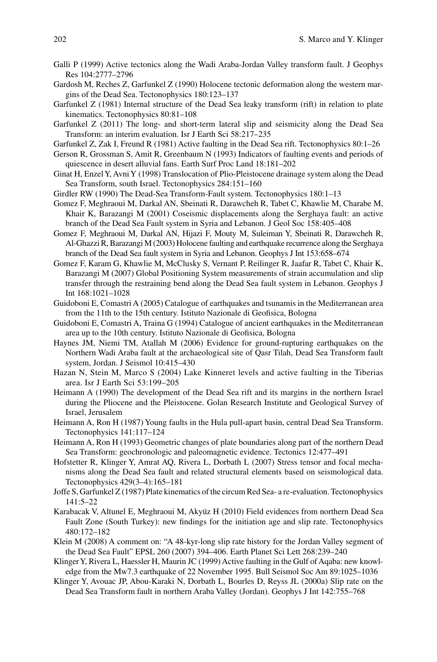- <span id="page-19-0"></span> Galli P (1999) Active tectonics along the Wadi Araba-Jordan Valley transform fault. J Geophys Res 104:2777–2796
- Gardosh M, Reches Z, Garfunkel Z (1990) Holocene tectonic deformation along the western margins of the Dead Sea. Tectonophysics 180:123–137
- Garfunkel Z (1981) Internal structure of the Dead Sea leaky transform (rift) in relation to plate kinematics. Tectonophysics 80:81–108
- Garfunkel Z (2011) The long- and short-term lateral slip and seismicity along the Dead Sea Transform: an interim evaluation. Isr J Earth Sci 58:217–235
- Garfunkel Z, Zak I, Freund R (1981) Active faulting in the Dead Sea rift. Tectonophysics 80:1–26
- Gerson R, Grossman S, Amit R, Greenbaum N (1993) Indicators of faulting events and periods of quiescence in desert alluvial fans. Earth Surf Proc Land 18:181–202
- Ginat H, Enzel Y, Avni Y (1998) Translocation of Plio-Pleistocene drainage system along the Dead Sea Transform, south Israel. Tectonophysics 284:151–160
- Girdler RW (1990) The Dead-Sea Transform-Fault system. Tectonophysics 180:1–13
- Gomez F, Meghraoui M, Darkal AN, Sbeinati R, Darawcheh R, Tabet C, Khawlie M, Charabe M, Khair K, Barazangi M (2001) Coseismic displacements along the Serghaya fault: an active branch of the Dead Sea Fault system in Syria and Lebanon. J Geol Soc 158:405–408
- Gomez F, Meghraoui M, Darkal AN, Hijazi F, Mouty M, Suleiman Y, Sbeinati R, Darawcheh R, Al-Ghazzi R, Barazangi M (2003) Holocene faulting and earthquake recurrence along the Serghaya branch of the Dead Sea fault system in Syria and Lebanon. Geophys J Int 153:658–674
- Gomez F, Karam G, Khawlie M, McClusky S, Vernant P, Reilinger R, Jaafar R, Tabet C, Khair K, Barazangi M (2007) Global Positioning System measurements of strain accumulation and slip transfer through the restraining bend along the Dead Sea fault system in Lebanon. Geophys J Int 168:1021–1028
- Guidoboni E, Comastri A (2005) Catalogue of earthquakes and tsunamis in the Mediterranean area from the 11th to the 15th century. Istituto Nazionale di Geofisica, Bologna
- Guidoboni E, Comastri A, Traina G (1994) Catalogue of ancient earthquakes in the Mediterranean area up to the 10th century. Istituto Nazionale di Geofisica, Bologna
- Haynes JM, Niemi TM, Atallah M (2006) Evidence for ground-rupturing earthquakes on the Northern Wadi Araba fault at the archaeological site of Qasr Tilah, Dead Sea Transform fault system, Jordan. J Seismol 10:415–430
- Hazan N, Stein M, Marco S (2004) Lake Kinneret levels and active faulting in the Tiberias area. Isr J Earth Sci 53:199–205
- Heimann A (1990) The development of the Dead Sea rift and its margins in the northern Israel during the Pliocene and the Pleistocene. Golan Research Institute and Geological Survey of Israel, Jerusalem
- Heimann A, Ron H (1987) Young faults in the Hula pull-apart basin, central Dead Sea Transform. Tectonophysics 141:117–124
- Heimann A, Ron H (1993) Geometric changes of plate boundaries along part of the northern Dead Sea Transform: geochronologic and paleomagnetic evidence. Tectonics 12:477–491
- Hofstetter R, Klinger Y, Amrat AQ, Rivera L, Dorbath L (2007) Stress tensor and focal mechanisms along the Dead Sea fault and related structural elements based on seismological data. Tectonophysics 429(3–4):165–181
- Joffe S, Garfunkel Z (1987) Plate kinematics of the circum Red Sea- a re-evaluation. Tectonophysics 141:5–22
- Karabacak V, Altunel E, Meghraoui M, Akyüz H (2010) Field evidences from northern Dead Sea Fault Zone (South Turkey): new findings for the initiation age and slip rate. Tectonophysics 480:172–182
- Klein M (2008) A comment on: "A 48-kyr-long slip rate history for the Jordan Valley segment of the Dead Sea Fault" EPSL 260 (2007) 394–406. Earth Planet Sci Lett 268:239–240
- Klinger Y, Rivera L, Haessler H, Maurin JC (1999) Active faulting in the Gulf of Aqaba: new knowledge from the Mw7.3 earthquake of 22 November 1995. Bull Seismol Soc Am 89:1025–1036
- Klinger Y, Avouac JP, Abou-Karaki N, Dorbath L, Bourles D, Reyss JL (2000a) Slip rate on the Dead Sea Transform fault in northern Araba Valley (Jordan). Geophys J Int 142:755–768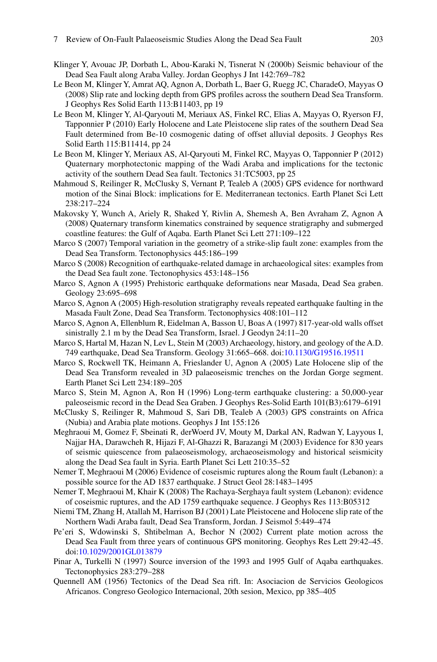- <span id="page-20-0"></span> Klinger Y, Avouac JP, Dorbath L, Abou-Karaki N, Tisnerat N (2000b) Seismic behaviour of the Dead Sea Fault along Araba Valley. Jordan Geophys J Int 142:769–782
- Le Beon M, Klinger Y, Amrat AQ, Agnon A, Dorbath L, Baer G, Ruegg JC, CharadeO, Mayyas O (2008) Slip rate and locking depth from GPS profiles across the southern Dead Sea Transform. J Geophys Res Solid Earth 113:B11403, pp 19
- Le Beon M, Klinger Y, Al-Qaryouti M, Meriaux AS, Finkel RC, Elias A, Mayyas O, Ryerson FJ, Tapponnier P (2010) Early Holocene and Late Pleistocene slip rates of the southern Dead Sea Fault determined from Be-10 cosmogenic dating of offset alluvial deposits. J Geophys Res Solid Earth 115:B11414, pp 24
- Le Beon M, Klinger Y, Meriaux AS, Al-Qaryouti M, Finkel RC, Mayyas O, Tapponnier P (2012) Quaternary morphotectonic mapping of the Wadi Araba and implications for the tectonic activity of the southern Dead Sea fault. Tectonics 31:TC5003, pp 25
- Mahmoud S, Reilinger R, McClusky S, Vernant P, Tealeb A (2005) GPS evidence for northward motion of the Sinai Block: implications for E. Mediterranean tectonics. Earth Planet Sci Lett 238:217–224
- Makovsky Y, Wunch A, Ariely R, Shaked Y, Rivlin A, Shemesh A, Ben Avraham Z, Agnon A (2008) Quaternary transform kinematics constrained by sequence stratigraphy and submerged coastline features: the Gulf of Aqaba. Earth Planet Sci Lett 271:109–122
- Marco S (2007) Temporal variation in the geometry of a strike-slip fault zone: examples from the Dead Sea Transform. Tectonophysics 445:186–199
- Marco S (2008) Recognition of earthquake-related damage in archaeological sites: examples from the Dead Sea fault zone. Tectonophysics 453:148–156
- Marco S, Agnon A (1995) Prehistoric earthquake deformations near Masada, Dead Sea graben. Geology 23:695–698
- Marco S, Agnon A (2005) High-resolution stratigraphy reveals repeated earthquake faulting in the Masada Fault Zone, Dead Sea Transform. Tectonophysics 408:101–112
- Marco S, Agnon A, Ellenblum R, Eidelman A, Basson U, Boas A (1997) 817-year-old walls offset sinistrally 2.1 m by the Dead Sea Transform, Israel. J Geodyn 24:11–20
- Marco S, Hartal M, Hazan N, Lev L, Stein M (2003) Archaeology, history, and geology of the A.D. 749 earthquake, Dead Sea Transform. Geology 31:665–668. doi:[10.1130/G19516.19511](http://dx.doi.org/10.1130/G19516.19511)
- Marco S, Rockwell TK, Heimann A, Frieslander U, Agnon A (2005) Late Holocene slip of the Dead Sea Transform revealed in 3D palaeoseismic trenches on the Jordan Gorge segment. Earth Planet Sci Lett 234:189–205
- Marco S, Stein M, Agnon A, Ron H (1996) Long-term earthquake clustering: a 50,000-year paleoseismic record in the Dead Sea Graben. J Geophys Res-Solid Earth 101(B3):6179–6191
- McClusky S, Reilinger R, Mahmoud S, Sari DB, Tealeb A (2003) GPS constraints on Africa (Nubia) and Arabia plate motions. Geophys J Int 155:126
- Meghraoui M, Gomez F, Sbeinati R, derWoerd JV, Mouty M, Darkal AN, Radwan Y, Layyous I, Najjar HA, Darawcheh R, Hijazi F, Al-Ghazzi R, Barazangi M (2003) Evidence for 830 years of seismic quiescence from palaeoseismology, archaeoseismology and historical seismicity along the Dead Sea fault in Syria. Earth Planet Sci Lett 210:35–52
- Nemer T, Meghraoui M (2006) Evidence of coseismic ruptures along the Roum fault (Lebanon): a possible source for the AD 1837 earthquake. J Struct Geol 28:1483–1495
- Nemer T, Meghraoui M, Khair K (2008) The Rachaya-Serghaya fault system (Lebanon): evidence of coseismic ruptures, and the AD 1759 earthquake sequence. J Geophys Res 113:B05312
- Niemi TM, Zhang H, Atallah M, Harrison BJ (2001) Late Pleistocene and Holocene slip rate of the Northern Wadi Araba fault, Dead Sea Transform, Jordan. J Seismol 5:449–474
- Pe'eri S, Wdowinski S, Shtibelman A, Bechor N (2002) Current plate motion across the Dead Sea Fault from three years of continuous GPS monitoring. Geophys Res Lett 29:42–45. doi[:10.1029/2001GL013879](http://dx.doi.org/10.1029/2001GL013879)
- Pinar A, Turkelli N (1997) Source inversion of the 1993 and 1995 Gulf of Aqaba earthquakes. Tectonophysics 283:279–288
- Quennell AM (1956) Tectonics of the Dead Sea rift. In: Asociacion de Servicios Geologicos Africanos. Congreso Geologico Internacional, 20th sesion, Mexico, pp 385–405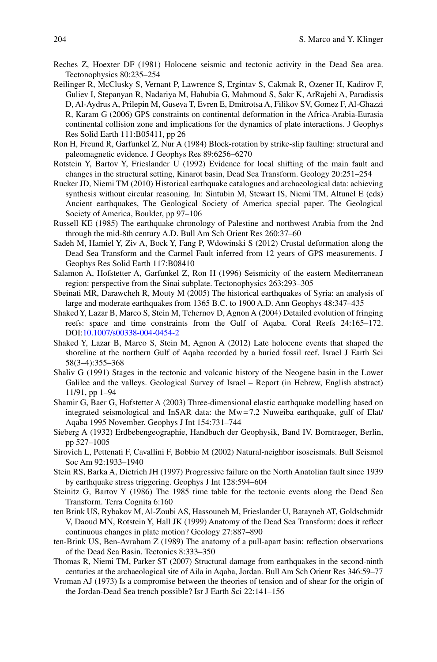- <span id="page-21-0"></span> Reches Z, Hoexter DF (1981) Holocene seismic and tectonic activity in the Dead Sea area. Tectonophysics 80:235–254
- Reilinger R, McClusky S, Vernant P, Lawrence S, Ergintav S, Cakmak R, Ozener H, Kadirov F, Guliev I, Stepanyan R, Nadariya M, Hahubia G, Mahmoud S, Sakr K, ArRajehi A, Paradissis D, Al-Aydrus A, Prilepin M, Guseva T, Evren E, Dmitrotsa A, Filikov SV, Gomez F, Al-Ghazzi R, Karam G (2006) GPS constraints on continental deformation in the Africa-Arabia-Eurasia continental collision zone and implications for the dynamics of plate interactions. J Geophys Res Solid Earth 111:B05411, pp 26
- Ron H, Freund R, Garfunkel Z, Nur A (1984) Block-rotation by strike-slip faulting: structural and paleomagnetic evidence. J Geophys Res 89:6256–6270
- Rotstein Y, Bartov Y, Frieslander U (1992) Evidence for local shifting of the main fault and changes in the structural setting, Kinarot basin, Dead Sea Transform. Geology 20:251–254
- Rucker JD, Niemi TM (2010) Historical earthquake catalogues and archaeological data: achieving synthesis without circular reasoning. In: Sintubin M, Stewart IS, Niemi TM, Altunel E (eds) Ancient earthquakes, The Geological Society of America special paper. The Geological Society of America, Boulder, pp 97–106
- Russell KE (1985) The earthquake chronology of Palestine and northwest Arabia from the 2nd through the mid-8th century A.D. Bull Am Sch Orient Res 260:37–60
- Sadeh M, Hamiel Y, Ziv A, Bock Y, Fang P, Wdowinski S (2012) Crustal deformation along the Dead Sea Transform and the Carmel Fault inferred from 12 years of GPS measurements. J Geophys Res Solid Earth 117:B08410
- Salamon A, Hofstetter A, Garfunkel Z, Ron H (1996) Seismicity of the eastern Mediterranean region: perspective from the Sinai subplate. Tectonophysics 263:293–305
- Sbeinati MR, Darawcheh R, Mouty M (2005) The historical earthquakes of Syria: an analysis of large and moderate earthquakes from 1365 B.C. to 1900 A.D. Ann Geophys 48:347–435
- Shaked Y, Lazar B, Marco S, Stein M, Tchernov D, Agnon A (2004) Detailed evolution of fringing reefs: space and time constraints from the Gulf of Aqaba. Coral Reefs 24:165–172. DOI[:10.1007/s00338-004-0454-2](http://dx.doi.org/10.1007/s00338-004-0454-2)
- Shaked Y, Lazar B, Marco S, Stein M, Agnon A (2012) Late holocene events that shaped the shoreline at the northern Gulf of Aqaba recorded by a buried fossil reef. Israel J Earth Sci 58(3–4):355–368
- Shaliv G (1991) Stages in the tectonic and volcanic history of the Neogene basin in the Lower Galilee and the valleys. Geological Survey of Israel – Report (in Hebrew, English abstract) 11/91, pp 1–94
- Shamir G, Baer G, Hofstetter A (2003) Three-dimensional elastic earthquake modelling based on integrated seismological and InSAR data: the Mw = 7.2 Nuweiba earthquake, gulf of Elat/ Aqaba 1995 November. Geophys J Int 154:731–744
- Sieberg A (1932) Erdbebengeographie, Handbuch der Geophysik, Band IV. Borntraeger, Berlin, pp 527–1005
- Sirovich L, Pettenati F, Cavallini F, Bobbio M (2002) Natural-neighbor isoseismals. Bull Seismol Soc Am 92:1933–1940
- Stein RS, Barka A, Dietrich JH (1997) Progressive failure on the North Anatolian fault since 1939 by earthquake stress triggering. Geophys J Int 128:594–604
- Steinitz G, Bartov Y (1986) The 1985 time table for the tectonic events along the Dead Sea Transform. Terra Cognita 6:160
- ten Brink US, Rybakov M, Al-Zoubi AS, Hassouneh M, Frieslander U, Batayneh AT, Goldschmidt V, Daoud MN, Rotstein Y, Hall JK (1999) Anatomy of the Dead Sea Transform: does it reflect continuous changes in plate motion? Geology 27:887–890
- ten-Brink US, Ben-Avraham Z (1989) The anatomy of a pull-apart basin: reflection observations of the Dead Sea Basin. Tectonics 8:333–350
- Thomas R, Niemi TM, Parker ST (2007) Structural damage from earthquakes in the second-ninth centuries at the archaeological site of Aila in Aqaba, Jordan. Bull Am Sch Orient Res 346:59–77
- Vroman AJ (1973) Is a compromise between the theories of tension and of shear for the origin of the Jordan-Dead Sea trench possible? Isr J Earth Sci 22:141–156